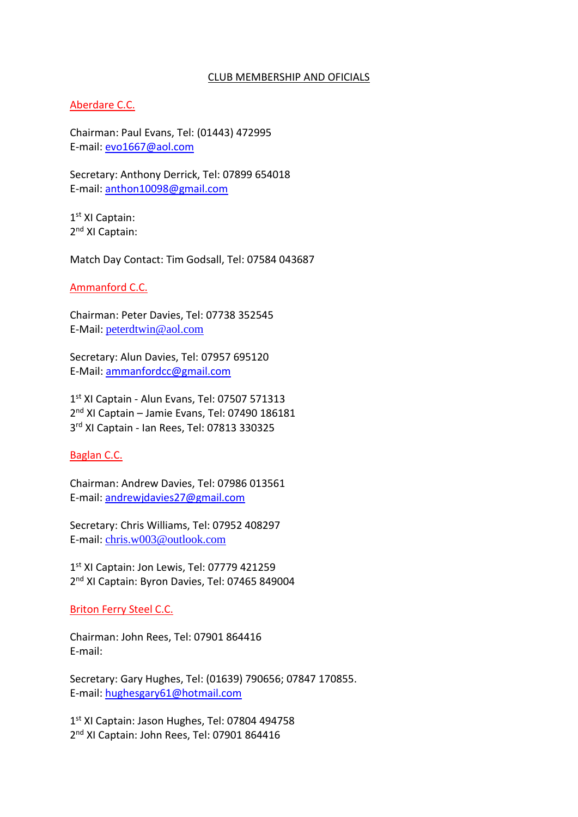#### CLUB MEMBERSHIP AND OFICIALS

#### Aberdare C.C.

Chairman: Paul Evans, Tel: (01443) 472995 E-mail: [evo1667@aol.com](mailto:evo1667@aol.com)

Secretary: Anthony Derrick, Tel: 07899 654018 E-mail: [anthon10098@gmail.com](mailto:anthon10098@gmail.com)

1 st XI Captain: 2<sup>nd</sup> XI Captain:

Match Day Contact: Tim Godsall, Tel: 07584 043687

Ammanford C.C.

Chairman: Peter Davies, Tel: 07738 352545 E-Mail: [peterdtwin@aol.com](mailto:peterdtwin@aol.com)

Secretary: Alun Davies, Tel: 07957 695120 E-Mail: [ammanfordcc@gmail.com](mailto:ammanfordcc@gmail.com)

1 st XI Captain - Alun Evans, Tel: 07507 571313 2<sup>nd</sup> XI Captain - Jamie Evans, Tel: 07490 186181 3 rd XI Captain - Ian Rees, Tel: 07813 330325

Baglan C.C.

Chairman: Andrew Davies, Tel: 07986 013561 E-mail: [andrewjdavies27@gmail.com](mailto:andrewjdavies@gmail.com)

Secretary: Chris Williams, Tel: 07952 408297 E-mail: [chris.w003@outlook.com](mailto:Chris.W003@outlook.com)

1<sup>st</sup> XI Captain: Jon Lewis, Tel: 07779 421259 2<sup>nd</sup> XI Captain: Byron Davies, Tel: 07465 849004

Briton Ferry Steel C.C.

Chairman: John Rees, Tel: 07901 864416 E-mail:

Secretary: Gary Hughes, Tel: (01639) 790656; 07847 170855. E-mail: [hughesgary61@hotmail.com](mailto:hughesgary61@hotmail.com)

1st XI Captain: Jason Hughes, Tel: 07804 494758 2<sup>nd</sup> XI Captain: John Rees, Tel: 07901 864416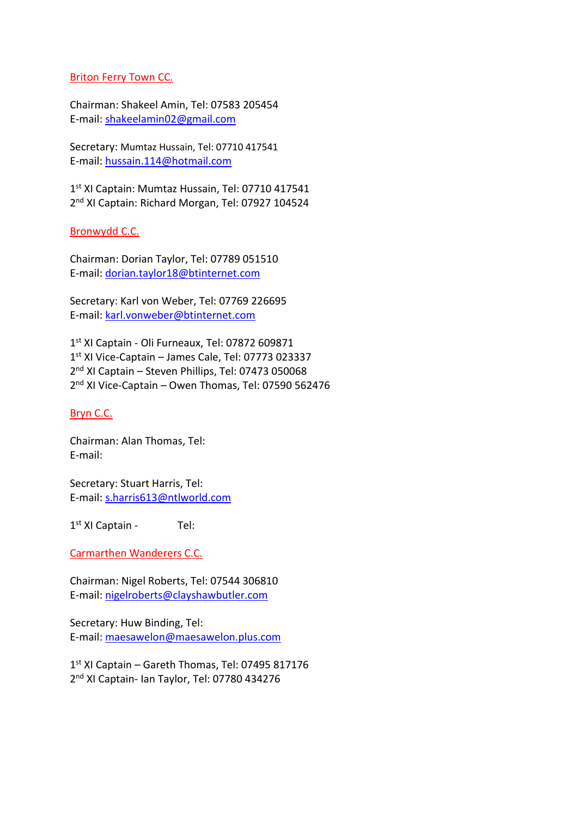# Briton Ferry Town CC.

Chairman: Shakeel Amin, Tel: 07583 205454 E-mail: [shakeelamin02@gmail.com](mailto:shakeelamin02@gmail.com)

Secretary: Mumtaz Hussain, Tel: 07710 417541 E-mail: [hussain.114@hotmail.com](mailto:hussain.114@hotmail.com)

1 st XI Captain: Mumtaz Hussain, Tel: 07710 417541 2<sup>nd</sup> XI Captain: Richard Morgan, Tel: 07927 104524

# Bronwydd C.C.

Chairman: Dorian Taylor, Tel: 07789 051510 E-mail: [dorian.taylor18@btinternet.com](mailto:dorian.taylor18@btinternet.com)

Secretary: Karl von Weber, Tel: 07769 226695 E-mail: [karl.vonweber@btinternet.com](mailto:karl.vonweber@btinternet.com)

 st XI Captain - Oli Furneaux, Tel: 07872 609871 st XI Vice-Captain – James Cale, Tel: 07773 023337 2<sup>nd</sup> XI Captain - Steven Phillips, Tel: 07473 050068 nd XI Vice-Captain – Owen Thomas, Tel: 07590 562476

# Bryn C.C.

Chairman: Alan Thomas, Tel: E-mail:

Secretary: Stuart Harris, Tel: E-mail: [s.harris613@ntlworld.com](mailto:s.harris613@ntlworld.com)

1 st XI Captain - Tel:

Carmarthen Wanderers C.C.

Chairman: Nigel Roberts, Tel: 07544 306810 E-mail: [nigelroberts@clayshawbutler.com](mailto:nigelroberts@clayshawbutler.com)

Secretary: Huw Binding, Tel: E-mail: [maesawelon@maesawelon.plus.com](mailto:maesawelon@maesawelon.plus.com)

1 st XI Captain – Gareth Thomas, Tel: 07495 817176 2<sup>nd</sup> XI Captain- Ian Taylor, Tel: 07780 434276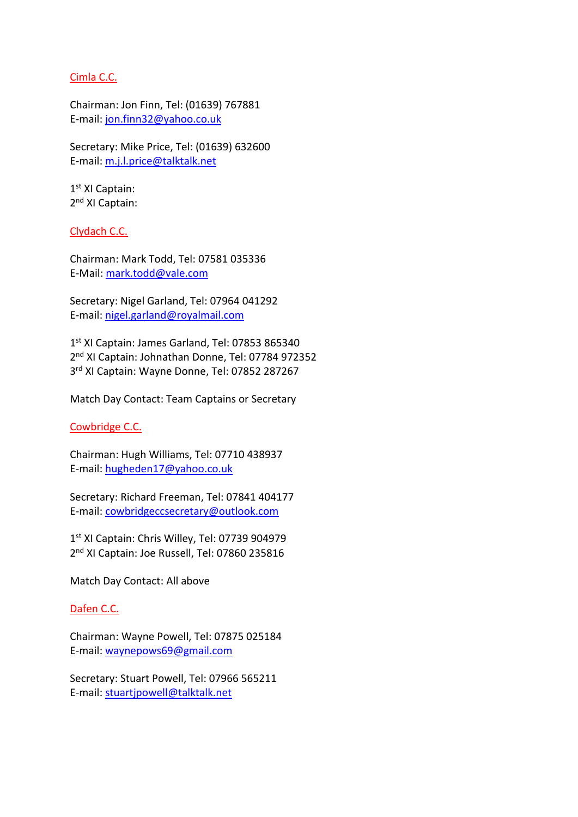# Cimla C.C.

Chairman: Jon Finn, Tel: (01639) 767881 E-mail: [jon.finn32@yahoo.co.uk](mailto:jon.finn32@yahoo.co.uk)

Secretary: Mike Price, Tel: (01639) 632600 E-mail: [m.j.l.price@talktalk.net](mailto:m.j.l.price@talktalk.net)

1 st XI Captain: 2<sup>nd</sup> XI Captain:

Clydach C.C.

Chairman: Mark Todd, Tel: 07581 035336 E-Mail: [mark.todd@vale.com](mailto:mark.todd@vale.com)

Secretary: Nigel Garland, Tel: 07964 041292 E-mail: [nigel.garland@royalmail.com](mailto:nigel.garland@royalmail.com)

1 st XI Captain: James Garland, Tel: 07853 865340 2 nd XI Captain: Johnathan Donne, Tel: 07784 972352 3 rd XI Captain: Wayne Donne, Tel: 07852 287267

Match Day Contact: Team Captains or Secretary

Cowbridge C.C.

Chairman: Hugh Williams, Tel: 07710 438937 E-mail: [hugheden17@yahoo.co.uk](mailto:hugheden17@yahoo.co.uk)

Secretary: Richard Freeman, Tel: 07841 404177 E-mail: [cowbridgeccsecretary@outlook.com](mailto:cowbridgeccsecretary@outlook.com)

1 st XI Captain: Chris Willey, Tel: 07739 904979 2<sup>nd</sup> XI Captain: Joe Russell, Tel: 07860 235816

Match Day Contact: All above

Dafen C.C.

Chairman: Wayne Powell, Tel: 07875 025184 E-mail: [waynepows69@gmail.com](mailto:waynepows69@gmail.com)

Secretary: Stuart Powell, Tel: 07966 565211 E-mail: [stuartjpowell@talktalk.net](mailto:stuartjpowell@talktalk.net)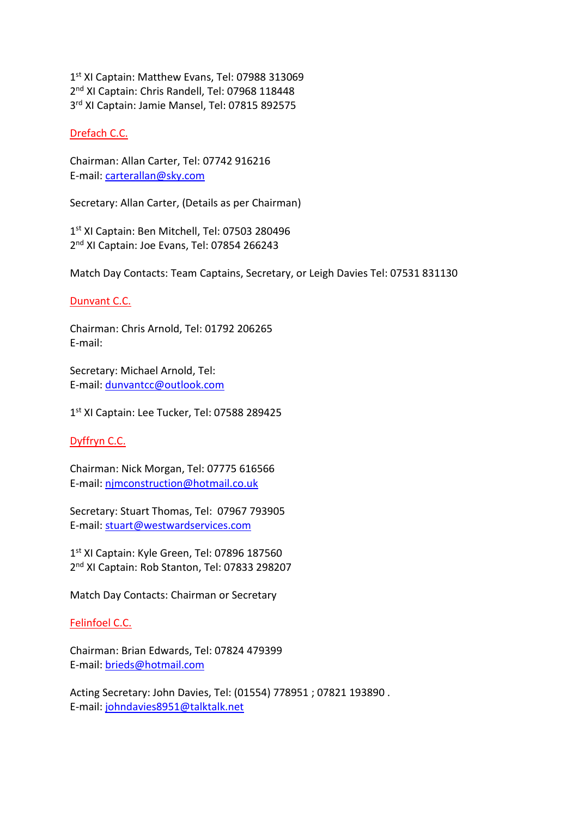1 st XI Captain: Matthew Evans, Tel: 07988 313069 2<sup>nd</sup> XI Captain: Chris Randell, Tel: 07968 118448 3<sup>rd</sup> XI Captain: Jamie Mansel, Tel: 07815 892575

# Drefach C.C.

Chairman: Allan Carter, Tel: 07742 916216 E-mail: [carterallan@sky.com](mailto:carterallan@sky.com)

Secretary: Allan Carter, (Details as per Chairman)

1 st XI Captain: Ben Mitchell, Tel: 07503 280496 2<sup>nd</sup> XI Captain: Joe Evans, Tel: 07854 266243

Match Day Contacts: Team Captains, Secretary, or Leigh Davies Tel: 07531 831130

# Dunvant C.C.

Chairman: Chris Arnold, Tel: 01792 206265 E-mail:

Secretary: Michael Arnold, Tel: E-mail: [dunvantcc@outlook.com](mailto:dunvantcc@outlook.com)

1 st XI Captain: Lee Tucker, Tel: 07588 289425

# Dyffryn C.C.

Chairman: Nick Morgan, Tel: 07775 616566 E-mail: [njmconstruction@hotmail.co.uk](mailto:njmconstruction@hotmail.co.uk)

Secretary: Stuart Thomas, Tel: 07967 793905 E-mail: [stuart@westwardservices.com](mailto:stuart@westwardservices.com)

1st XI Captain: Kyle Green, Tel: 07896 187560 2<sup>nd</sup> XI Captain: Rob Stanton, Tel: 07833 298207

Match Day Contacts: Chairman or Secretary

# Felinfoel C.C.

Chairman: Brian Edwards, Tel: 07824 479399 E-mail: [brieds@hotmail.com](mailto:brieds@hotmail.com)

Acting Secretary: John Davies, Tel: (01554) 778951 ; 07821 193890 . E-mail: [johndavies8951@talktalk.net](mailto:johndavies8951@talktalk.net)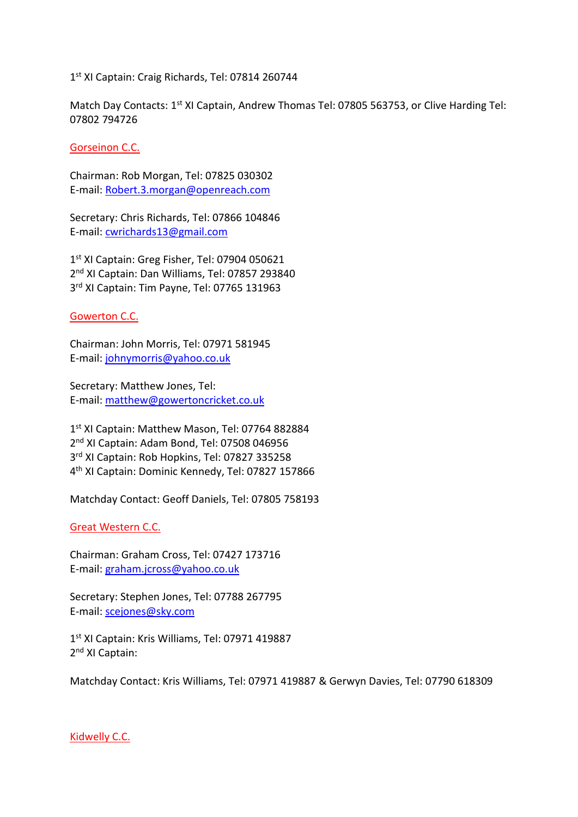# 1 st XI Captain: Craig Richards, Tel: 07814 260744

Match Day Contacts: 1<sup>st</sup> XI Captain, Andrew Thomas Tel: 07805 563753, or Clive Harding Tel: 07802 794726

Gorseinon C.C.

Chairman: Rob Morgan, Tel: 07825 030302 E-mail: [Robert.3.morgan@openreach.com](mailto:Robert.3.morgan@openreach.com)

Secretary: Chris Richards, Tel: 07866 104846 E-mail: [cwrichards13@gmail.com](mailto:cwrichards13@gmail.com)

1<sup>st</sup> XI Captain: Greg Fisher, Tel: 07904 050621 2<sup>nd</sup> XI Captain: Dan Williams, Tel: 07857 293840 3<sup>rd</sup> XI Captain: Tim Payne, Tel: 07765 131963

# Gowerton C.C.

Chairman: John Morris, Tel: 07971 581945 E-mail: [johnymorris@yahoo.co.uk](mailto:johnymorris@yahoo.co.uk)

Secretary: Matthew Jones, Tel: E-mail: [matthew@gowertoncricket.co.uk](mailto:matthew@gowertoncricket.co.uk)

 st XI Captain: Matthew Mason, Tel: 07764 882884 2<sup>nd</sup> XI Captain: Adam Bond, Tel: 07508 046956 rd XI Captain: Rob Hopkins, Tel: 07827 335258 th XI Captain: Dominic Kennedy, Tel: 07827 157866

Matchday Contact: Geoff Daniels, Tel: 07805 758193

# Great Western C.C.

Chairman: Graham Cross, Tel: 07427 173716 E-mail: [graham.jcross@yahoo.co.uk](mailto:graham.jcross@yahoo.co.uk)

Secretary: Stephen Jones, Tel: 07788 267795 E-mail: [scejones@sky.com](mailto:scejones@sky.com)

1 st XI Captain: Kris Williams, Tel: 07971 419887 2<sup>nd</sup> XI Captain:

Matchday Contact: Kris Williams, Tel: 07971 419887 & Gerwyn Davies, Tel: 07790 618309

Kidwelly C.C.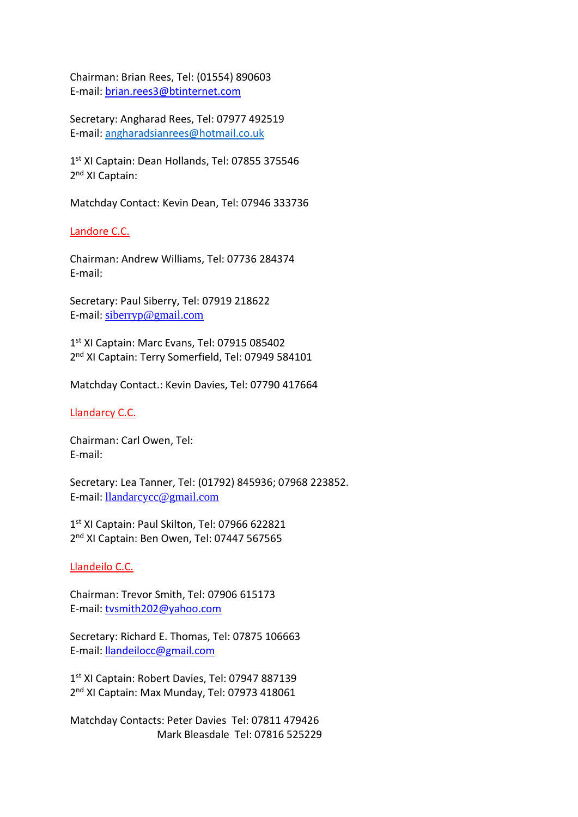Chairman: Brian Rees, Tel: (01554) 890603 E-mail: [brian.rees3@btinternet.com](mailto:brian.rees3@btinternet.com)

Secretary: Angharad Rees, Tel: 07977 492519 E-mail: [angharadsianrees@hotmail.co.uk](mailto:angharadsianrees@hotmail.co.uk)

1<sup>st</sup> XI Captain: Dean Hollands, Tel: 07855 375546 2<sup>nd</sup> XI Captain:

Matchday Contact: Kevin Dean, Tel: 07946 333736

Landore C.C.

Chairman: Andrew Williams, Tel: 07736 284374 E-mail:

Secretary: Paul Siberry, Tel: 07919 218622 E-mail: [siberryp@gmail.com](mailto:siberryp@gmail.com)

1 st XI Captain: Marc Evans, Tel: 07915 085402 2<sup>nd</sup> XI Captain: Terry Somerfield, Tel: 07949 584101

Matchday Contact.: Kevin Davies, Tel: 07790 417664

Llandarcy C.C.

Chairman: Carl Owen, Tel: E-mail:

Secretary: Lea Tanner, Tel: (01792) 845936; 07968 223852. E-mail: [llandarcycc@gmail.com](mailto:llandarcycc@gmail.com)

1 st XI Captain: Paul Skilton, Tel: 07966 622821 2<sup>nd</sup> XI Captain: Ben Owen, Tel: 07447 567565

Llandeilo C.C.

Chairman: Trevor Smith, Tel: 07906 615173 E-mail: [tvsmith202@yahoo.com](mailto:tvsmith202@yahoo.com)

Secretary: Richard E. Thomas, Tel: 07875 106663 E-mail: [llandeilocc@gmail.com](mailto:llandeilocc@gmail.com)

1st XI Captain: Robert Davies, Tel: 07947 887139 2<sup>nd</sup> XI Captain: Max Munday, Tel: 07973 418061

Matchday Contacts: Peter Davies Tel: 07811 479426 Mark Bleasdale Tel: 07816 525229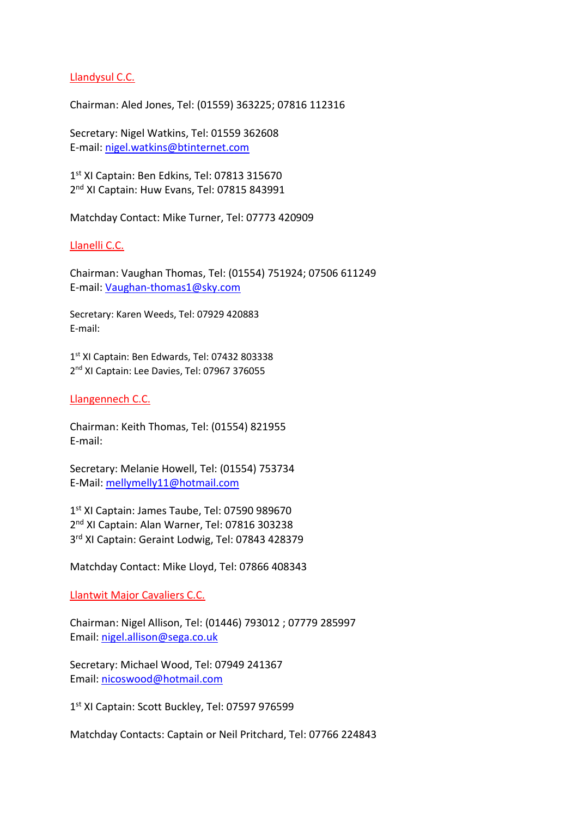# Llandysul C.C.

Chairman: Aled Jones, Tel: (01559) 363225; 07816 112316

Secretary: Nigel Watkins, Tel: 01559 362608 E-mail: [nigel.watkins@btinternet.com](mailto:nigel.watkins@btinternet.com)

1 st XI Captain: Ben Edkins, Tel: 07813 315670 2<sup>nd</sup> XI Captain: Huw Evans, Tel: 07815 843991

Matchday Contact: Mike Turner, Tel: 07773 420909

#### Llanelli C.C.

Chairman: Vaughan Thomas, Tel: (01554) 751924; 07506 611249 E-mail: [Vaughan-thomas1@sky.com](mailto:Vaughan-thomas1@sky.com)

Secretary: Karen Weeds, Tel: 07929 420883 E-mail:

1 st XI Captain: Ben Edwards, Tel: 07432 803338 2<sup>nd</sup> XI Captain: Lee Davies, Tel: 07967 376055

# Llangennech C.C.

Chairman: Keith Thomas, Tel: (01554) 821955 E-mail:

Secretary: Melanie Howell, Tel: (01554) 753734 E-Mail: [mellymelly11@hotmail.com](mailto:mellymelly11@hotmail.com)

1 st XI Captain: James Taube, Tel: 07590 989670 2<sup>nd</sup> XI Captain: Alan Warner, Tel: 07816 303238 3<sup>rd</sup> XI Captain: Geraint Lodwig, Tel: 07843 428379

Matchday Contact: Mike Lloyd, Tel: 07866 408343

Llantwit Major Cavaliers C.C.

Chairman: Nigel Allison, Tel: (01446) 793012 ; 07779 285997 Email: [nigel.allison@sega.co.uk](mailto:nigel.allison@sega.co.uk)

Secretary: Michael Wood, Tel: 07949 241367 Email: [nicoswood@hotmail.com](mailto:nicoswood@hotmail.com)

1 st XI Captain: Scott Buckley, Tel: 07597 976599

Matchday Contacts: Captain or Neil Pritchard, Tel: 07766 224843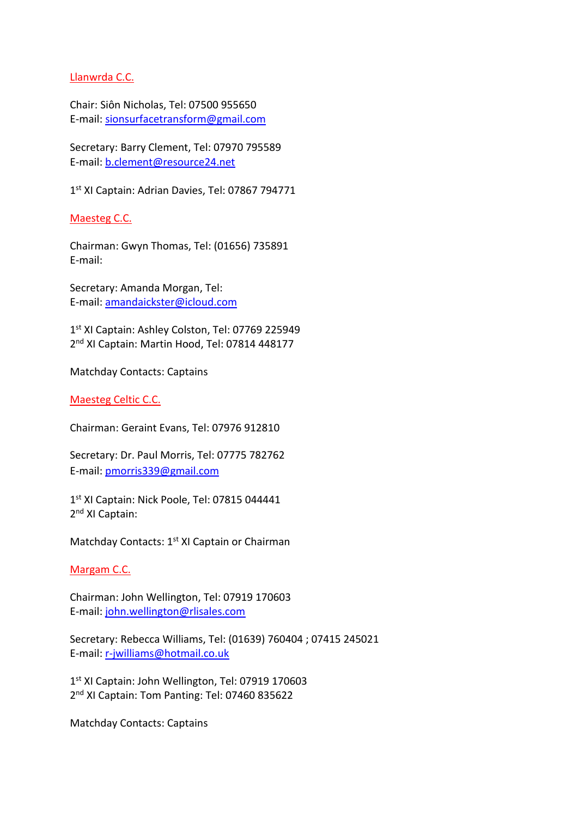# Llanwrda C.C.

Chair: Siôn Nicholas, Tel: 07500 955650 E-mail: [sionsurfacetransform@gmail.com](mailto:sionsurfacetransform@gmail.com)

Secretary: Barry Clement, Tel: 07970 795589 E-mail: [b.clement@resource24.net](mailto:b.clement@resource24.net)

1 st XI Captain: Adrian Davies, Tel: 07867 794771

Maesteg C.C.

Chairman: Gwyn Thomas, Tel: (01656) 735891 E-mail:

Secretary: Amanda Morgan, Tel: E-mail: [amandaickster@icloud.com](mailto:amandaickster@icloud.com)

1 st XI Captain: Ashley Colston, Tel: 07769 225949 2<sup>nd</sup> XI Captain: Martin Hood, Tel: 07814 448177

Matchday Contacts: Captains

# Maesteg Celtic C.C.

Chairman: Geraint Evans, Tel: 07976 912810

Secretary: Dr. Paul Morris, Tel: 07775 782762 E-mail: [pmorris339@gmail.com](mailto:pmorris339@gmail.com)

1st XI Captain: Nick Poole, Tel: 07815 044441 2<sup>nd</sup> XI Captain:

Matchday Contacts: 1<sup>st</sup> XI Captain or Chairman

# Margam C.C.

Chairman: John Wellington, Tel: 07919 170603 E-mail: [john.wellington@rlisales.com](mailto:john.wellington@rlisales.com)

Secretary: Rebecca Williams, Tel: (01639) 760404 ; 07415 245021 E-mail: [r-jwilliams@hotmail.co.uk](mailto:r-jwilliams@hotmail.co.uk)

1 st XI Captain: John Wellington, Tel: 07919 170603 2<sup>nd</sup> XI Captain: Tom Panting: Tel: 07460 835622

Matchday Contacts: Captains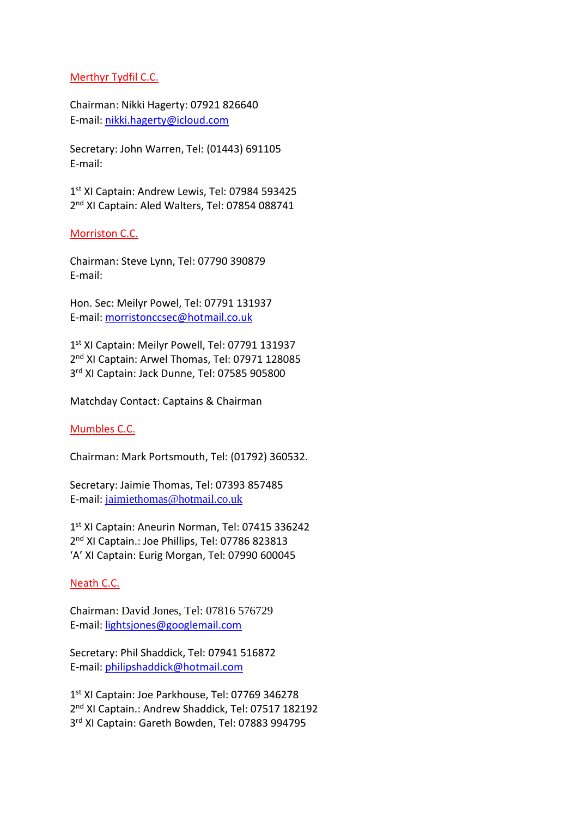# Merthyr Tydfil C.C.

Chairman: Nikki Hagerty: 07921 826640 E-mail: [nikki.hagerty@icloud.com](mailto:nikki.hagerty@icloud.com)

Secretary: John Warren, Tel: (01443) 691105 E-mail:

1 st XI Captain: Andrew Lewis, Tel: 07984 593425 2<sup>nd</sup> XI Captain: Aled Walters, Tel: 07854 088741

# Morriston C.C.

Chairman: Steve Lynn, Tel: 07790 390879 E-mail:

Hon. Sec: Meilyr Powel, Tel: 07791 131937 E-mail: [morristonccsec@hotmail.co.uk](mailto:morristonccsec@hotmail.co.uk)

1 st XI Captain: Meilyr Powell, Tel: 07791 131937 2<sup>nd</sup> XI Captain: Arwel Thomas, Tel: 07971 128085 3 rd XI Captain: Jack Dunne, Tel: 07585 905800

Matchday Contact: Captains & Chairman

# Mumbles C.C.

Chairman: Mark Portsmouth, Tel: (01792) 360532.

Secretary: Jaimie Thomas, Tel: 07393 857485 E-mail: [jaimiethomas@hotmail.co.uk](mailto:jaimiethomas@hotmail.co.uk)

1 st XI Captain: Aneurin Norman, Tel: 07415 336242 2<sup>nd</sup> XI Captain.: Joe Phillips, Tel: 07786 823813 'A' XI Captain: Eurig Morgan, Tel: 07990 600045

# Neath C.C.

Chairman: David Jones, Tel: 07816 576729 E-mail: [lightsjones@googlemail.com](mailto:lightsjones@googlemail.com)

Secretary: Phil Shaddick, Tel: 07941 516872 E-mail: [philipshaddick@hotmail.com](mailto:philipshaddick@hotmail.com)

1 st XI Captain: Joe Parkhouse, Tel: 07769 346278 2<sup>nd</sup> XI Captain.: Andrew Shaddick, Tel: 07517 182192 3<sup>rd</sup> XI Captain: Gareth Bowden, Tel: 07883 994795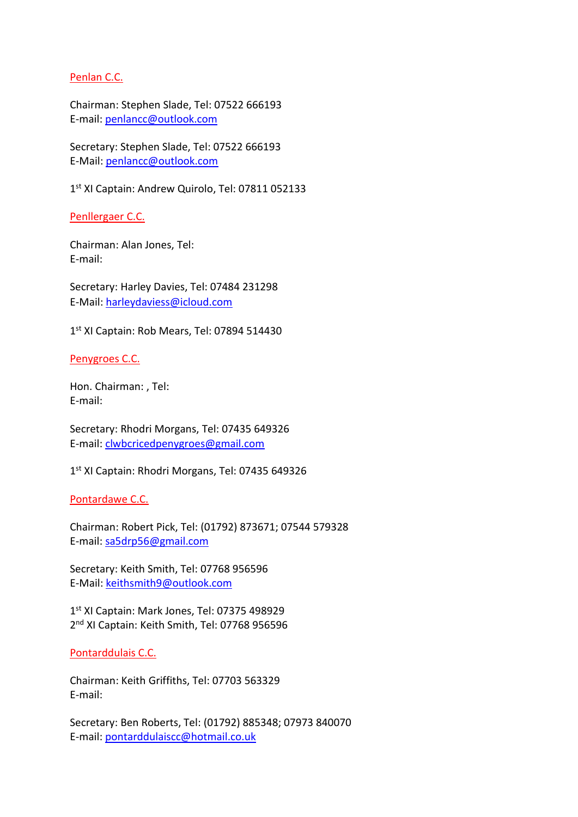# Penlan C.C.

Chairman: Stephen Slade, Tel: 07522 666193 E-mail: [penlancc@outlook.com](mailto:penlancc@outlook.com)

Secretary: Stephen Slade, Tel: 07522 666193 E-Mail: [penlancc@outlook.com](mailto:penlancc@outlook.com)

1 st XI Captain: Andrew Quirolo, Tel: 07811 052133

Penllergaer C.C.

Chairman: Alan Jones, Tel: E-mail:

Secretary: Harley Davies, Tel: 07484 231298 E-Mail: [harleydaviess@icloud.com](mailto:harleydaviess@icloud.com)

1 st XI Captain: Rob Mears, Tel: 07894 514430

Penygroes C.C.

Hon. Chairman: , Tel: E-mail:

Secretary: Rhodri Morgans, Tel: 07435 649326 E-mail: [clwbcricedpenygroes@gmail.com](mailto:clwbcricedpenygroes@gmail.com)

1 st XI Captain: Rhodri Morgans, Tel: 07435 649326

Pontardawe C.C.

Chairman: Robert Pick, Tel: (01792) 873671; 07544 579328 E-mail: [sa5drp56@gmail.com](mailto:sa5drp56@gmail.com)

Secretary: Keith Smith, Tel: 07768 956596 E-Mail: [keithsmith9@outlook.com](mailto:keithsmith9@outlook.com)

1 st XI Captain: Mark Jones, Tel: 07375 498929 2<sup>nd</sup> XI Captain: Keith Smith, Tel: 07768 956596

#### Pontarddulais C.C.

Chairman: Keith Griffiths, Tel: 07703 563329 E-mail:

Secretary: Ben Roberts, Tel: (01792) 885348; 07973 840070 E-mail: [pontarddulaiscc@hotmail.co.uk](mailto:pontarddulaiscc@hotmail.co.uk)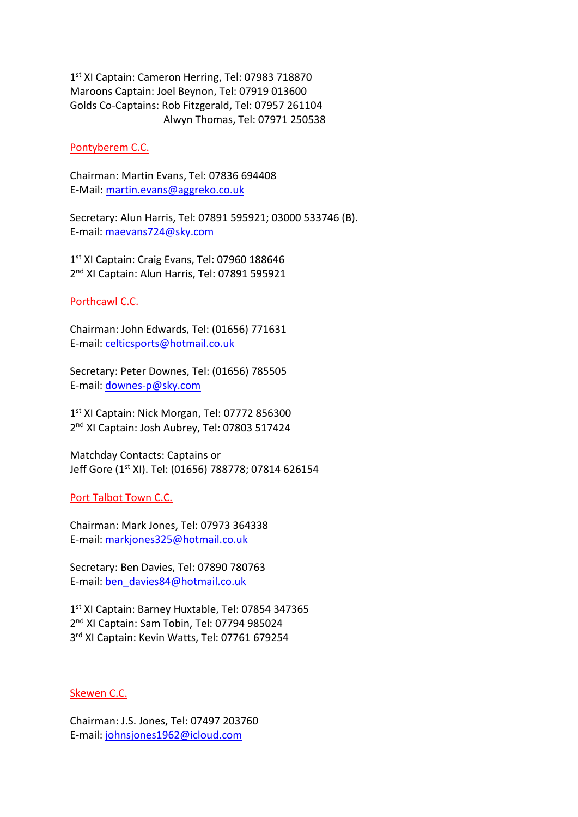1 st XI Captain: Cameron Herring, Tel: 07983 718870 Maroons Captain: Joel Beynon, Tel: 07919 013600 Golds Co-Captains: Rob Fitzgerald, Tel: 07957 261104 Alwyn Thomas, Tel: 07971 250538

### Pontyberem C.C.

Chairman: Martin Evans, Tel: 07836 694408 E-Mail: [martin.evans@aggreko.co.uk](mailto:martin.evans@aggreko.co.uk)

Secretary: Alun Harris, Tel: 07891 595921; 03000 533746 (B). E-mail: [maevans724@sky.com](mailto:maevans724@sky.com)

1st XI Captain: Craig Evans, Tel: 07960 188646 2<sup>nd</sup> XI Captain: Alun Harris, Tel: 07891 595921

# Porthcawl C.C.

Chairman: John Edwards, Tel: (01656) 771631 E-mail: [celticsports@hotmail.co.uk](mailto:celticsports@hotmail.co.uk)

Secretary: Peter Downes, Tel: (01656) 785505 E-mail: [downes-p@sky.com](mailto:downes-p@sky.com)

1st XI Captain: Nick Morgan, Tel: 07772 856300 2<sup>nd</sup> XI Captain: Josh Aubrey, Tel: 07803 517424

Matchday Contacts: Captains or Jeff Gore (1st XI). Tel: (01656) 788778; 07814 626154

Port Talbot Town C.C.

Chairman: Mark Jones, Tel: 07973 364338 E-mail: [markjones325@hotmail.co.uk](mailto:markjones325@hotmail.co.uk)

Secretary: Ben Davies, Tel: 07890 780763 E-mail: [ben\\_davies84@hotmail.co.uk](mailto:ben_davies84@hotmail.co.uk)

1 st XI Captain: Barney Huxtable, Tel: 07854 347365 2<sup>nd</sup> XI Captain: Sam Tobin, Tel: 07794 985024 3<sup>rd</sup> XI Captain: Kevin Watts, Tel: 07761 679254

Skewen C.C.

Chairman: J.S. Jones, Tel: 07497 203760 E-mail: [johnsjones1962@icloud.com](mailto:johnsjones1962@icloud.com)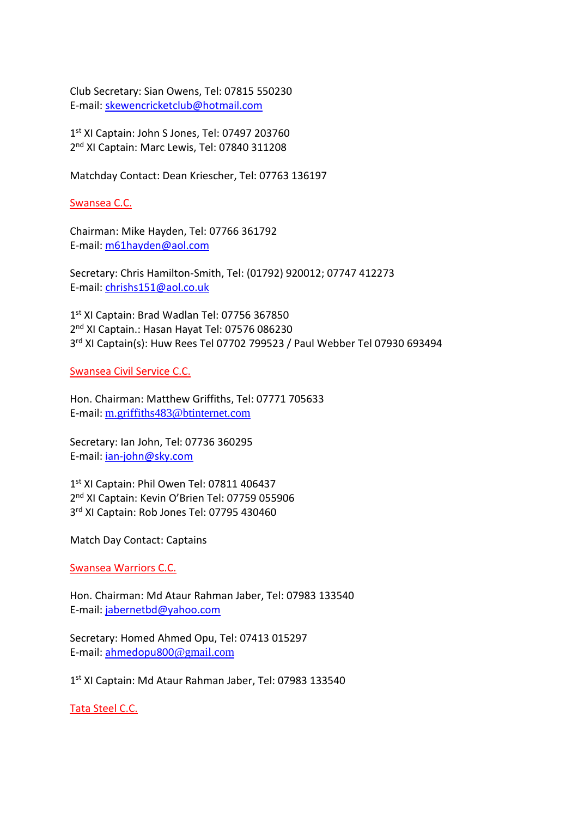Club Secretary: Sian Owens, Tel: 07815 550230 E-mail: [skewencricketclub@hotmail.com](mailto:skewencricketclub@hotmail.com)

1 st XI Captain: John S Jones, Tel: 07497 203760 2<sup>nd</sup> XI Captain: Marc Lewis, Tel: 07840 311208

Matchday Contact: Dean Kriescher, Tel: 07763 136197

Swansea C.C.

Chairman: Mike Hayden, Tel: 07766 361792 E-mail: [m61hayden@aol.com](mailto:m61hayden@aol.com)

Secretary: Chris Hamilton-Smith, Tel: (01792) 920012; 07747 412273 E-mail: [chrishs151@aol.co.uk](mailto:chrishs151@aol.co.uk)

1 st XI Captain: Brad Wadlan Tel: 07756 367850 2<sup>nd</sup> XI Captain.: Hasan Hayat Tel: 07576 086230 3 rd XI Captain(s): Huw Rees Tel 07702 799523 / Paul Webber Tel 07930 693494

Swansea Civil Service C.C.

Hon. Chairman: Matthew Griffiths, Tel: 07771 705633 E-mail: [m.griffiths483@btinternet.com](mailto:m.griffiths483@btinternet.com)

Secretary: Ian John, Tel: 07736 360295 E-mail: [ian-john@sky.com](mailto:ian-john@sky.com)

1 st XI Captain: Phil Owen Tel: 07811 406437 2<sup>nd</sup> XI Captain: Kevin O'Brien Tel: 07759 055906 3<sup>rd</sup> XI Captain: Rob Jones Tel: 07795 430460

Match Day Contact: Captains

Swansea Warriors C.C.

Hon. Chairman: Md Ataur Rahman Jaber, Tel: 07983 133540 E-mail: [jabernetbd@yahoo.com](mailto:jabernetbd@yahoo.com)

Secretary: Homed Ahmed Opu, Tel: 07413 015297 E-mail: [ahmedopu800](mailto:ahmedopu800@gmail.com)[@gmail.com](mailto:ahmedopu800@gmail.com)

1 st XI Captain: Md Ataur Rahman Jaber, Tel: 07983 133540

Tata Steel C.C.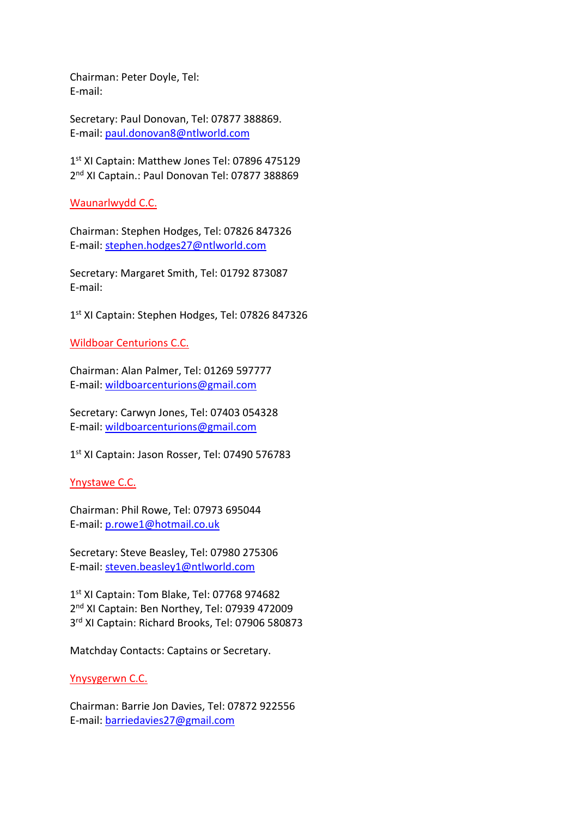Chairman: Peter Doyle, Tel: E-mail:

Secretary: Paul Donovan, Tel: 07877 388869. E-mail: [paul.donovan8@ntlworld.com](mailto:paul.donovan8@ntlworld.com)

1st XI Captain: Matthew Jones Tel: 07896 475129 2<sup>nd</sup> XI Captain.: Paul Donovan Tel: 07877 388869

Waunarlwydd C.C.

Chairman: Stephen Hodges, Tel: 07826 847326 E-mail: [stephen.hodges27@ntlworld.com](mailto:stephen.hodges27@ntlworld.com)

Secretary: Margaret Smith, Tel: 01792 873087 E-mail:

1 st XI Captain: Stephen Hodges, Tel: 07826 847326

Wildboar Centurions C.C.

Chairman: Alan Palmer, Tel: 01269 597777 E-mail: [wildboarcenturions@gmail.com](mailto:wildboarcenturions@gmail.com)

Secretary: Carwyn Jones, Tel: 07403 054328 E-mail: [wildboarcenturions@gmail.com](mailto:wildboarcenturions@gmail.com)

1 st XI Captain: Jason Rosser, Tel: 07490 576783

Ynystawe C.C.

Chairman: Phil Rowe, Tel: 07973 695044 E-mail: [p.rowe1@hotmail.co.uk](mailto:p.rowe1@hotmail.co.uk)

Secretary: Steve Beasley, Tel: 07980 275306 E-mail: [steven.beasley1@ntlworld.com](mailto:steven.beasley1@ntlworld.com)

1 st XI Captain: Tom Blake, Tel: 07768 974682 2<sup>nd</sup> XI Captain: Ben Northey, Tel: 07939 472009 3 rd XI Captain: Richard Brooks, Tel: 07906 580873

Matchday Contacts: Captains or Secretary.

Ynysygerwn C.C.

Chairman: Barrie Jon Davies, Tel: 07872 922556 E-mail: [barriedavies27@gmail.com](mailto:barriedavies27@gmail.com)